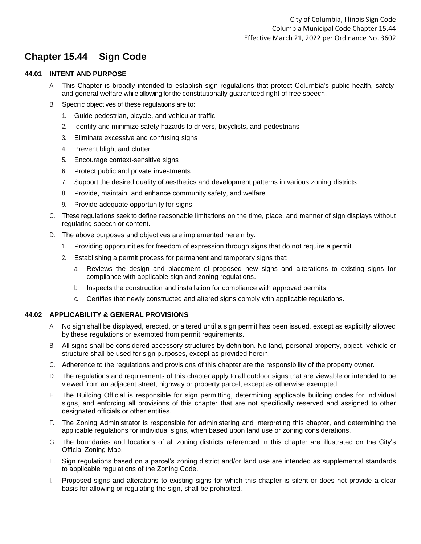# **Chapter 15.44 Sign Code**

# **44.01 INTENT AND PURPOSE**

- A. This Chapter is broadly intended to establish sign regulations that protect Columbia's public health, safety, and general welfare while allowing for the constitutionally guaranteed right of free speech.
- B. Specific objectives of these regulations are to:
	- 1. Guide pedestrian, bicycle, and vehicular traffic
	- 2. Identify and minimize safety hazards to drivers, bicyclists, and pedestrians
	- 3. Eliminate excessive and confusing signs
	- 4. Prevent blight and clutter
	- 5. Encourage context-sensitive signs
	- 6. Protect public and private investments
	- 7. Support the desired quality of aesthetics and development patterns in various zoning districts
	- 8. Provide, maintain, and enhance community safety, and welfare
	- 9. Provide adequate opportunity for signs
- C. These regulations seek to define reasonable limitations on the time, place, and manner of sign displays without regulating speech or content.
- D. The above purposes and objectives are implemented herein by:
	- 1. Providing opportunities for freedom of expression through signs that do not require a permit.
	- 2. Establishing a permit process for permanent and temporary signs that:
		- a. Reviews the design and placement of proposed new signs and alterations to existing signs for compliance with applicable sign and zoning regulations.
		- b. Inspects the construction and installation for compliance with approved permits.
		- c. Certifies that newly constructed and altered signs comply with applicable regulations.

# **44.02 APPLICABILITY & GENERAL PROVISIONS**

- A. No sign shall be displayed, erected, or altered until a sign permit has been issued, except as explicitly allowed by these regulations or exempted from permit requirements.
- B. All signs shall be considered accessory structures by definition. No land, personal property, object, vehicle or structure shall be used for sign purposes, except as provided herein.
- C. Adherence to the regulations and provisions of this chapter are the responsibility of the property owner.
- D. The regulations and requirements of this chapter apply to all outdoor signs that are viewable or intended to be viewed from an adjacent street, highway or property parcel, except as otherwise exempted.
- E. The Building Official is responsible for sign permitting, determining applicable building codes for individual signs, and enforcing all provisions of this chapter that are not specifically reserved and assigned to other designated officials or other entities.
- F. The Zoning Administrator is responsible for administering and interpreting this chapter, and determining the applicable regulations for individual signs, when based upon land use or zoning considerations.
- G. The boundaries and locations of all zoning districts referenced in this chapter are illustrated on the City's Official Zoning Map.
- H. Sign regulations based on a parcel's zoning district and/or land use are intended as supplemental standards to applicable regulations of the Zoning Code.
- I. Proposed signs and alterations to existing signs for which this chapter is silent or does not provide a clear basis for allowing or regulating the sign, shall be prohibited.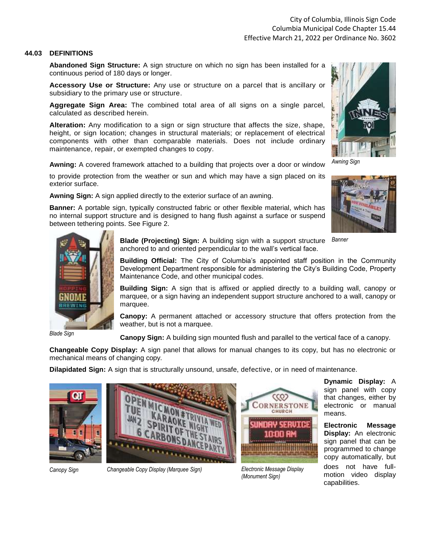### **44.03 DEFINITIONS**

**Abandoned Sign Structure:** A sign structure on which no sign has been installed for a continuous period of 180 days or longer.

**Accessory Use or Structure:** Any use or structure on a parcel that is ancillary or subsidiary to the primary use or structure.

**Aggregate Sign Area:** The combined total area of all signs on a single parcel, calculated as described herein.

**Alteration:** Any modification to a sign or sign structure that affects the size, shape, height, or sign location; changes in structural materials; or replacement of electrical components with other than comparable materials. Does not include ordinary maintenance, repair, or exempted changes to copy.

**Awning:** A covered framework attached to a building that projects over a door or window

to provide protection from the weather or sun and which may have a sign placed on its exterior surface.

**Awning Sign:** A sign applied directly to the exterior surface of an awning.

**Banner:** A portable sign, typically constructed fabric or other flexible material, which has no internal support structure and is designed to hang flush against a surface or suspend between tethering points. See Figure 2.



*Awning Sign*





*Blade Sign*

**Blade (Projecting) Sign:** A building sign with a support structure anchored to and oriented perpendicular to the wall's vertical face. *Banner*

**Building Official:** The City of Columbia's appointed staff position in the Community Development Department responsible for administering the City's Building Code, Property Maintenance Code, and other municipal codes.

**Building Sign:** A sign that is affixed or applied directly to a building wall, canopy or marquee, or a sign having an independent support structure anchored to a wall, canopy or marquee.

**Canopy:** A permanent attached or accessory structure that offers protection from the weather, but is not a marquee.

**Canopy Sign:** A building sign mounted flush and parallel to the vertical face of a canopy.

**Changeable Copy Display:** A sign panel that allows for manual changes to its copy, but has no electronic or mechanical means of changing copy.

**Dilapidated Sign:** A sign that is structurally unsound, unsafe, defective, or in need of maintenance.





*(Monument Sign)*

**Dynamic Display:** A sign panel with copy that changes, either by electronic or manual means.

**Electronic Message Display:** An electronic sign panel that can be programmed to change copy automatically, but does not have fullmotion video display capabilities.

*Canopy Sign Changeable Copy Display (Marquee Sign) Electronic Message Display*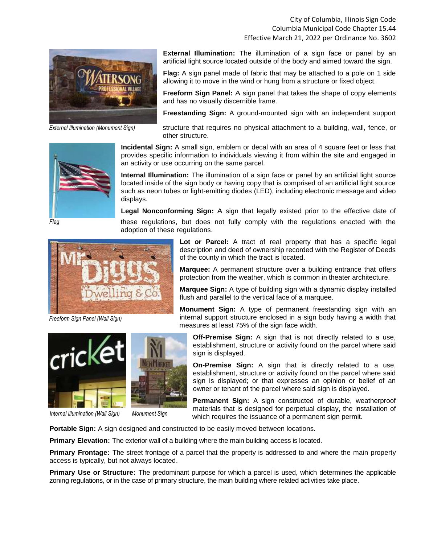City of Columbia, Illinois Sign Code Columbia Municipal Code Chapter 15.44 Effective March 21, 2022 per Ordinance No. 3602



*External Illumination (Monument Sign)*



*Flag*

**External Illumination:** The illumination of a sign face or panel by an artificial light source located outside of the body and aimed toward the sign.

**Flag:** A sign panel made of fabric that may be attached to a pole on 1 side allowing it to move in the wind or hung from a structure or fixed object.

**Freeform Sign Panel:** A sign panel that takes the shape of copy elements and has no visually discernible frame.

**Freestanding Sign:** A ground-mounted sign with an independent support

structure that requires no physical attachment to a building, wall, fence, or other structure.

**Incidental Sign:** A small sign, emblem or decal with an area of 4 square feet or less that provides specific information to individuals viewing it from within the site and engaged in an activity or use occurring on the same parcel.

**Internal Illumination:** The illumination of a sign face or panel by an artificial light source located inside of the sign body or having copy that is comprised of an artificial light source such as neon tubes or light-emitting diodes (LED), including electronic message and video displays.

**Legal Nonconforming Sign:** A sign that legally existed prior to the effective date of

these regulations, but does not fully comply with the regulations enacted with the adoption of these regulations.

> **Lot or Parcel:** A tract of real property that has a specific legal description and deed of ownership recorded with the Register of Deeds of the county in which the tract is located.

> **Marquee:** A permanent structure over a building entrance that offers protection from the weather, which is common in theater architecture.

> **Marquee Sign:** A type of building sign with a dynamic display installed flush and parallel to the vertical face of a marquee.

**Monument Sign:** A type of permanent freestanding sign with an internal support structure enclosed in a sign body having a width that measures at least 75% of the sign face width.

**Off-Premise Sign:** A sign that is not directly related to a use, establishment, structure or activity found on the parcel where said sign is displayed.

**On-Premise Sign:** A sign that is directly related to a use, establishment, structure or activity found on the parcel where said sign is displayed; or that expresses an opinion or belief of an owner or tenant of the parcel where said sign is displayed.

**Permanent Sign:** A sign constructed of durable, weatherproof materials that is designed for perpetual display, the installation of which requires the issuance of a permanent sign permit.

**Portable Sign:** A sign designed and constructed to be easily moved between locations.

**Primary Elevation:** The exterior wall of a building where the main building access is located.

**Primary Frontage:** The street frontage of a parcel that the property is addressed to and where the main property access is typically, but not always located.

**Primary Use or Structure:** The predominant purpose for which a parcel is used, which determines the applicable zoning regulations, or in the case of primary structure, the main building where related activities take place.

*Freeform Sign Panel (Wall Sign)*



 $\text{ind } \mathcal{E}$ 

*Internal Illumination (Wall Sign) Monument Sign*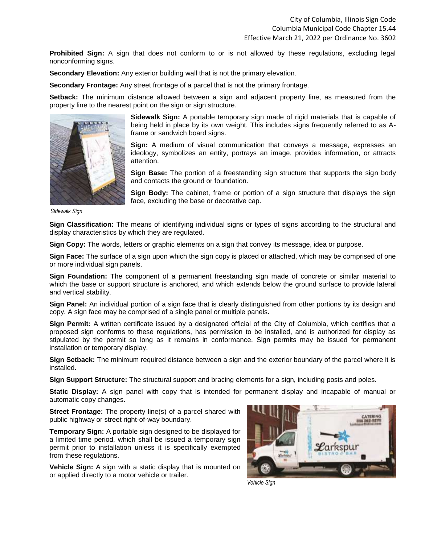**Prohibited Sign:** A sign that does not conform to or is not allowed by these regulations, excluding legal nonconforming signs.

**Secondary Elevation:** Any exterior building wall that is not the primary elevation.

**Secondary Frontage:** Any street frontage of a parcel that is not the primary frontage.

**Setback:** The minimum distance allowed between a sign and adjacent property line, as measured from the property line to the nearest point on the sign or sign structure.



**Sidewalk Sign:** A portable temporary sign made of rigid materials that is capable of being held in place by its own weight. This includes signs frequently referred to as Aframe or sandwich board signs.

**Sign:** A medium of visual communication that conveys a message, expresses an ideology, symbolizes an entity, portrays an image, provides information, or attracts attention.

**Sign Base:** The portion of a freestanding sign structure that supports the sign body and contacts the ground or foundation.

**Sign Body:** The cabinet, frame or portion of a sign structure that displays the sign face, excluding the base or decorative cap.

*Sidewalk Sign*

**Sign Classification:** The means of identifying individual signs or types of signs according to the structural and display characteristics by which they are regulated.

**Sign Copy:** The words, letters or graphic elements on a sign that convey its message, idea or purpose.

**Sign Face:** The surface of a sign upon which the sign copy is placed or attached, which may be comprised of one or more individual sign panels.

**Sign Foundation:** The component of a permanent freestanding sign made of concrete or similar material to which the base or support structure is anchored, and which extends below the ground surface to provide lateral and vertical stability.

**Sign Panel:** An individual portion of a sign face that is clearly distinguished from other portions by its design and copy. A sign face may be comprised of a single panel or multiple panels.

**Sign Permit:** A written certificate issued by a designated official of the City of Columbia, which certifies that a proposed sign conforms to these regulations, has permission to be installed, and is authorized for display as stipulated by the permit so long as it remains in conformance. Sign permits may be issued for permanent installation or temporary display.

**Sign Setback:** The minimum required distance between a sign and the exterior boundary of the parcel where it is installed.

**Sign Support Structure:** The structural support and bracing elements for a sign, including posts and poles.

**Static Display:** A sign panel with copy that is intended for permanent display and incapable of manual or automatic copy changes.

**Street Frontage:** The property line(s) of a parcel shared with public highway or street right-of-way boundary.

**Temporary Sign:** A portable sign designed to be displayed for a limited time period, which shall be issued a temporary sign permit prior to installation unless it is specifically exempted from these regulations.

**Vehicle Sign:** A sign with a static display that is mounted on or applied directly to a motor vehicle or trailer.



*Vehicle Sign*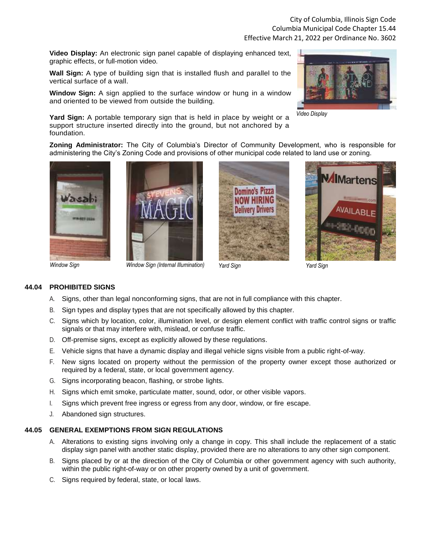**Video Display:** An electronic sign panel capable of displaying enhanced text, graphic effects, or full-motion video.

**Wall Sign:** A type of building sign that is installed flush and parallel to the vertical surface of a wall.

**Window Sign:** A sign applied to the surface window or hung in a window and oriented to be viewed from outside the building.

**Yard Sign:** A portable temporary sign that is held in place by weight or a support structure inserted directly into the ground, but not anchored by a foundation.



*Video Display*

**Zoning Administrator:** The City of Columbia's Director of Community Development, who is responsible for administering the City's Zoning Code and provisions of other municipal code related to land use or zoning.









# **44.04 PROHIBITED SIGNS**

- A. Signs, other than legal nonconforming signs, that are not in full compliance with this chapter.
- B. Sign types and display types that are not specifically allowed by this chapter.
- C. Signs which by location, color, illumination level, or design element conflict with traffic control signs or traffic signals or that may interfere with, mislead, or confuse traffic.
- D. Off-premise signs, except as explicitly allowed by these regulations.
- E. Vehicle signs that have a dynamic display and illegal vehicle signs visible from a public right-of-way.
- F. New signs located on property without the permission of the property owner except those authorized or required by a federal, state, or local government agency.
- G. Signs incorporating beacon, flashing, or strobe lights.
- H. Signs which emit smoke, particulate matter, sound, odor, or other visible vapors.
- I. Signs which prevent free ingress or egress from any door, window, or fire escape.
- J. Abandoned sign structures.

# **44.05 GENERAL EXEMPTIONS FROM SIGN REGULATIONS**

- A. Alterations to existing signs involving only a change in copy. This shall include the replacement of a static display sign panel with another static display, provided there are no alterations to any other sign component.
- B. Signs placed by or at the direction of the City of Columbia or other government agency with such authority, within the public right-of-way or on other property owned by a unit of government.
- C. Signs required by federal, state, or local laws.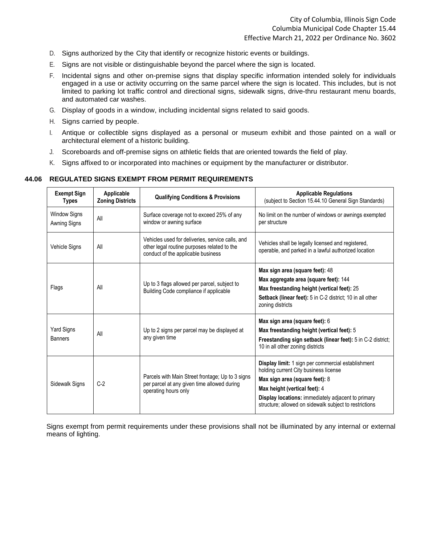- D. Signs authorized by the City that identify or recognize historic events or buildings.
- E. Signs are not visible or distinguishable beyond the parcel where the sign is located.
- F. Incidental signs and other on-premise signs that display specific information intended solely for individuals engaged in a use or activity occurring on the same parcel where the sign is located. This includes, but is not limited to parking lot traffic control and directional signs, sidewalk signs, drive-thru restaurant menu boards, and automated car washes.
- G. Display of goods in a window, including incidental signs related to said goods.
- H. Signs carried by people.
- I. Antique or collectible signs displayed as a personal or museum exhibit and those painted on a wall or architectural element of a historic building.
- J. Scoreboards and off-premise signs on athletic fields that are oriented towards the field of play.
- K. Signs affixed to or incorporated into machines or equipment by the manufacturer or distributor.

#### **44.06 REGULATED SIGNS EXEMPT FROM PERMIT REQUIREMENTS**

| <b>Exempt Sign</b><br><b>Types</b>  | Applicable<br><b>Zoning Districts</b> | <b>Qualifying Conditions &amp; Provisions</b>                                                                                         | <b>Applicable Regulations</b><br>(subject to Section 15.44.10 General Sign Standards)                                                                                                                                                                                          |
|-------------------------------------|---------------------------------------|---------------------------------------------------------------------------------------------------------------------------------------|--------------------------------------------------------------------------------------------------------------------------------------------------------------------------------------------------------------------------------------------------------------------------------|
| <b>Window Signs</b><br>Awning Signs | All                                   | Surface coverage not to exceed 25% of any<br>window or awning surface                                                                 | No limit on the number of windows or awnings exempted<br>per structure                                                                                                                                                                                                         |
| <b>Vehicle Signs</b>                | All                                   | Vehicles used for deliveries, service calls, and<br>other legal routine purposes related to the<br>conduct of the applicable business | Vehicles shall be legally licensed and registered,<br>operable, and parked in a lawful authorized location                                                                                                                                                                     |
| Flags                               | All                                   | Up to 3 flags allowed per parcel, subject to<br>Building Code compliance if applicable                                                | Max sign area (square feet): 48<br>Max aggregate area (square feet): 144<br>Max freestanding height (vertical feet): 25<br>Setback (linear feet): 5 in C-2 district; 10 in all other<br>zoning districts                                                                       |
| Yard Signs<br><b>Banners</b>        | All                                   | Up to 2 signs per parcel may be displayed at<br>any given time                                                                        | Max sign area (square feet): 6<br>Max freestanding height (vertical feet): 5<br>Freestanding sign setback (linear feet): 5 in C-2 district;<br>10 in all other zoning districts                                                                                                |
| Sidewalk Signs                      | $C-2$                                 | Parcels with Main Street frontage; Up to 3 signs<br>per parcel at any given time allowed during<br>operating hours only               | Display limit: 1 sign per commercial establishment<br>holding current City business license<br>Max sign area (square feet): 8<br>Max height (vertical feet): 4<br>Display locations: immediately adjacent to primary<br>structure; allowed on sidewalk subject to restrictions |

Signs exempt from permit requirements under these provisions shall not be illuminated by any internal or external means of lighting.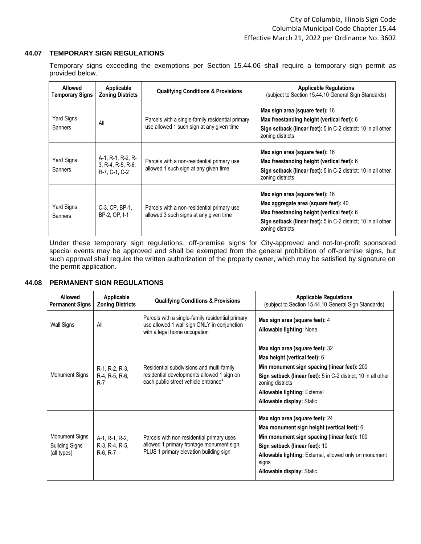#### **44.07 TEMPORARY SIGN REGULATIONS**

Temporary signs exceeding the exemptions per Section 15.44.06 shall require a temporary sign permit as provided below.

| Allowed<br>Temporary Signs   | Applicable<br><b>Zoning Districts</b>                   | <b>Qualifying Conditions &amp; Provisions</b>                                                 | <b>Applicable Regulations</b><br>(subject to Section 15.44.10 General Sign Standards)                                                                                                                       |
|------------------------------|---------------------------------------------------------|-----------------------------------------------------------------------------------------------|-------------------------------------------------------------------------------------------------------------------------------------------------------------------------------------------------------------|
| Yard Signs<br><b>Banners</b> | All                                                     | Parcels with a single-family residential primary<br>use allowed 1 such sign at any given time | Max sign area (square feet): 16<br>Max freestanding height (vertical feet): 6<br>Sign setback (linear feet): 5 in C-2 district; 10 in all other<br>zoning districts                                         |
| Yard Signs<br><b>Banners</b> | A-1, R-1, R-2, R-<br>3, R-4, R-5, R-6,<br>R-7, C-1, C-2 | Parcels with a non-residential primary use<br>allowed 1 such sign at any given time           | Max sign area (square feet): 16<br>Max freestanding height (vertical feet): 6<br>Sign setback (linear feet): 5 in C-2 district; 10 in all other<br>zoning districts                                         |
| Yard Signs<br><b>Banners</b> | C-3, CP, BP-1,<br>BP-2, OP. I-1                         | Parcels with a non-residential primary use<br>allowed 3 such signs at any given time          | Max sign area (square feet): 16<br>Max aggregate area (square feet): 40<br>Max freestanding height (vertical feet): 6<br>Sign setback (linear feet): 5 in C-2 district; 10 in all other<br>zoning districts |

Under these temporary sign regulations, off-premise signs for City-approved and not-for-profit sponsored special events may be approved and shall be exempted from the general prohibition of off-premise signs, but such approval shall require the written authorization of the property owner, which may be satisfied by signature on the permit application.

# **44.08 PERMANENT SIGN REGULATIONS**

| Allowed<br><b>Permanent Signs</b>                      | Applicable<br><b>Zoning Districts</b>          | <b>Qualifying Conditions &amp; Provisions</b>                                                                                    | <b>Applicable Regulations</b><br>(subject to Section 15.44.10 General Sign Standards)                                                                                                                                                                                             |
|--------------------------------------------------------|------------------------------------------------|----------------------------------------------------------------------------------------------------------------------------------|-----------------------------------------------------------------------------------------------------------------------------------------------------------------------------------------------------------------------------------------------------------------------------------|
| Wall Signs                                             | All                                            | Parcels with a single-family residential primary<br>use allowed 1 wall sign ONLY in conjunction<br>with a legal home occupation  | Max sign area (square feet): 4<br><b>Allowable lighting: None</b>                                                                                                                                                                                                                 |
| <b>Monument Signs</b>                                  | R-1, R-2, R-3,<br>R-4, R-5, R-6,<br>$R-7$      | Residential subdivisions and multi-family<br>residential developments allowed 1 sign on<br>each public street vehicle entrance*  | Max sign area (square feet): 32<br>Max height (vertical feet): 6<br>Min monument sign spacing (linear feet): 200<br>Sign setback (linear feet): 5 in C-2 district; 10 in all other<br>zoning districts<br><b>Allowable lighting: External</b><br><b>Allowable display: Static</b> |
| Monument Signs<br><b>Building Signs</b><br>(all types) | A-1, R-1, R-2,<br>R-3, R-4, R-5,<br>$R-6, R-7$ | Parcels with non-residential primary uses<br>allowed 1 primary frontage monument sign,<br>PLUS 1 primary elevation building sign | Max sign area (square feet): 24<br>Max monument sign height (vertical feet): 6<br>Min monument sign spacing (linear feet): 100<br>Sign setback (linear feet): 10<br>Allowable lighting: External, allowed only on monument<br>signs<br><b>Allowable display: Static</b>           |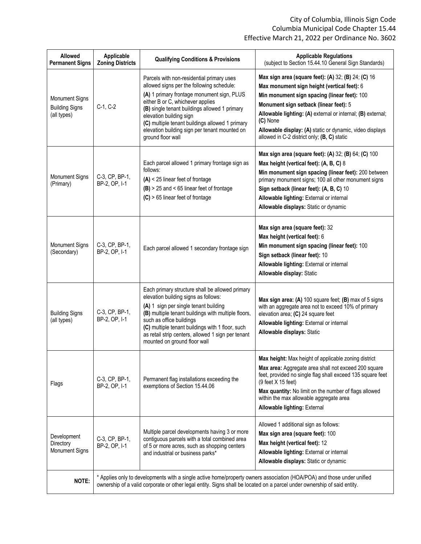| Allowed<br><b>Permanent Signs</b>                             | Applicable<br><b>Zoning Districts</b>                                                                                                                                                                                                              | <b>Qualifying Conditions &amp; Provisions</b>                                                                                                                                                                                                                                                                                                                                 | <b>Applicable Regulations</b><br>(subject to Section 15.44.10 General Sign Standards)                                                                                                                                                                                                                                                                                              |
|---------------------------------------------------------------|----------------------------------------------------------------------------------------------------------------------------------------------------------------------------------------------------------------------------------------------------|-------------------------------------------------------------------------------------------------------------------------------------------------------------------------------------------------------------------------------------------------------------------------------------------------------------------------------------------------------------------------------|------------------------------------------------------------------------------------------------------------------------------------------------------------------------------------------------------------------------------------------------------------------------------------------------------------------------------------------------------------------------------------|
| <b>Monument Signs</b><br><b>Building Signs</b><br>(all types) | C-1, C-2                                                                                                                                                                                                                                           | Parcels with non-residential primary uses<br>allowed signs per the following schedule:<br>(A) 1 primary frontage monument sign, PLUS<br>either B or C, whichever applies<br>(B) single tenant buildings allowed 1 primary<br>elevation building sign<br>(C) multiple tenant buildings allowed 1 primary<br>elevation building sign per tenant mounted on<br>ground floor wall | Max sign area (square feet): (A) 32; (B) 24; (C) 16<br>Max monument sign height (vertical feet): 6<br>Min monument sign spacing (linear feet): 100<br>Monument sign setback (linear feet): 5<br>Allowable lighting: (A) external or internal; (B) external;<br>(C) None<br>Allowable display: (A) static or dynamic, video displays<br>allowed in C-2 district only; (B, C) static |
| <b>Monument Signs</b><br>(Primary)                            | C-3, CP, BP-1,<br>BP-2, OP, I-1                                                                                                                                                                                                                    | Each parcel allowed 1 primary frontage sign as<br>follows:<br>$(A)$ < 25 linear feet of frontage<br>$(B)$ > 25 and < 65 linear feet of frontage<br>$(C)$ > 65 linear feet of frontage                                                                                                                                                                                         | Max sign area (square feet): (A) 32; (B) 64; (C) 100<br>Max height (vertical feet): (A, B, C) 8<br>Min monument sign spacing (linear feet): 200 between<br>primary monument signs; 100 all other monument signs<br>Sign setback (linear feet): (A, B, C) 10<br>Allowable lighting: External or internal<br>Allowable displays: Static or dynamic                                   |
| <b>Monument Signs</b><br>(Secondary)                          | C-3, CP, BP-1,<br>BP-2, OP, I-1                                                                                                                                                                                                                    | Each parcel allowed 1 secondary frontage sign                                                                                                                                                                                                                                                                                                                                 | Max sign area (square feet): 32<br>Max height (vertical feet): 6<br>Min monument sign spacing (linear feet): 100<br>Sign setback (linear feet): 10<br>Allowable lighting: External or internal<br>Allowable display: Static                                                                                                                                                        |
| <b>Building Signs</b><br>(all types)                          | C-3, CP, BP-1,<br>BP-2, OP, I-1                                                                                                                                                                                                                    | Each primary structure shall be allowed primary<br>elevation building signs as follows:<br>(A) 1 sign per single tenant building<br>(B) multiple tenant buildings with multiple floors,<br>such as office buildings<br>(C) multiple tenant buildings with 1 floor, such<br>as retail strip centers, allowed 1 sign per tenant<br>mounted on ground floor wall                 | Max sign area: (A) 100 square feet; (B) max of 5 signs<br>with an aggregate area not to exceed 10% of primary<br>elevation area; (C) 24 square feet<br>Allowable lighting: External or internal<br>Allowable displays: Static                                                                                                                                                      |
| Flags                                                         | C-3, CP, BP-1,<br>BP-2, OP, I-1                                                                                                                                                                                                                    | Permanent flag installations exceeding the<br>exemptions of Section 15.44.06                                                                                                                                                                                                                                                                                                  | Max height: Max height of applicable zoning district<br>Max area: Aggregate area shall not exceed 200 square<br>feet, provided no single flag shall exceed 135 square feet<br>$(9$ feet $X$ 15 feet)<br>Max quantity: No limit on the number of flags allowed<br>within the max allowable aggregate area<br>Allowable lighting: External                                           |
| Development<br>Directory<br>Monument Signs                    | C-3, CP, BP-1,<br>BP-2, OP, I-1                                                                                                                                                                                                                    | Multiple parcel developments having 3 or more<br>contiguous parcels with a total combined area<br>of 5 or more acres, such as shopping centers<br>and industrial or business parks*                                                                                                                                                                                           | Allowed 1 additional sign as follows:<br>Max sign area (square feet): 100<br>Max height (vertical feet): 12<br>Allowable lighting: External or internal<br>Allowable displays: Static or dynamic                                                                                                                                                                                   |
| NOTE:                                                         | * Applies only to developments with a single active home/property owners association (HOA/POA) and those under unified<br>ownership of a valid corporate or other legal entity. Signs shall be located on a parcel under ownership of said entity. |                                                                                                                                                                                                                                                                                                                                                                               |                                                                                                                                                                                                                                                                                                                                                                                    |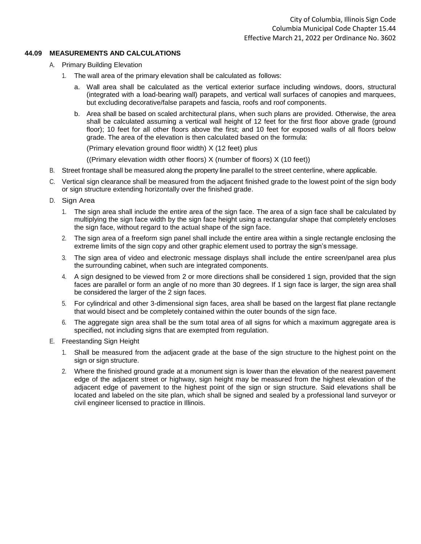### **44.09 MEASUREMENTS AND CALCULATIONS**

- A. Primary Building Elevation
	- 1. The wall area of the primary elevation shall be calculated as follows:
		- a. Wall area shall be calculated as the vertical exterior surface including windows, doors, structural (integrated with a load-bearing wall) parapets, and vertical wall surfaces of canopies and marquees, but excluding decorative/false parapets and fascia, roofs and roof components.
		- b. Area shall be based on scaled architectural plans, when such plans are provided. Otherwise, the area shall be calculated assuming a vertical wall height of 12 feet for the first floor above grade (ground floor); 10 feet for all other floors above the first; and 10 feet for exposed walls of all floors below grade. The area of the elevation is then calculated based on the formula:

(Primary elevation ground floor width) X (12 feet) plus

((Primary elevation width other floors) X (number of floors) X (10 feet))

- B. Street frontage shall be measured along the property line parallel to the street centerline, where applicable.
- C. Vertical sign clearance shall be measured from the adjacent finished grade to the lowest point of the sign body or sign structure extending horizontally over the finished grade.
- D. Sign Area
	- 1. The sign area shall include the entire area of the sign face. The area of a sign face shall be calculated by multiplying the sign face width by the sign face height using a rectangular shape that completely encloses the sign face, without regard to the actual shape of the sign face.
	- 2. The sign area of a freeform sign panel shall include the entire area within a single rectangle enclosing the extreme limits of the sign copy and other graphic element used to portray the sign's message.
	- 3. The sign area of video and electronic message displays shall include the entire screen/panel area plus the surrounding cabinet, when such are integrated components.
	- 4. A sign designed to be viewed from 2 or more directions shall be considered 1 sign, provided that the sign faces are parallel or form an angle of no more than 30 degrees. If 1 sign face is larger, the sign area shall be considered the larger of the 2 sign faces.
	- 5. For cylindrical and other 3-dimensional sign faces, area shall be based on the largest flat plane rectangle that would bisect and be completely contained within the outer bounds of the sign face.
	- 6. The aggregate sign area shall be the sum total area of all signs for which a maximum aggregate area is specified, not including signs that are exempted from regulation.
- E. Freestanding Sign Height
	- 1. Shall be measured from the adjacent grade at the base of the sign structure to the highest point on the sign or sign structure.
	- 2. Where the finished ground grade at a monument sign is lower than the elevation of the nearest pavement edge of the adjacent street or highway, sign height may be measured from the highest elevation of the adjacent edge of pavement to the highest point of the sign or sign structure. Said elevations shall be located and labeled on the site plan, which shall be signed and sealed by a professional land surveyor or civil engineer licensed to practice in Illinois.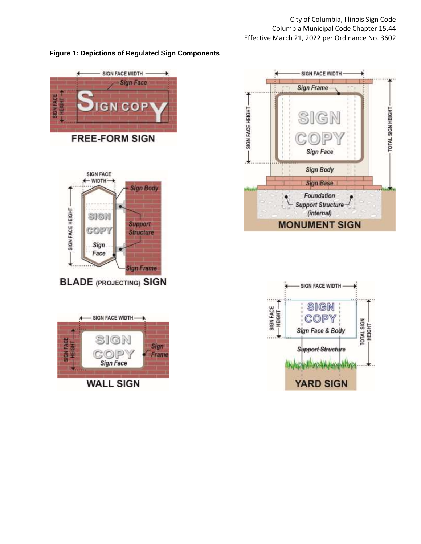# **Figure 1: Depictions of Regulated Sign Components**





**BLADE (PROJECTING) SIGN** 





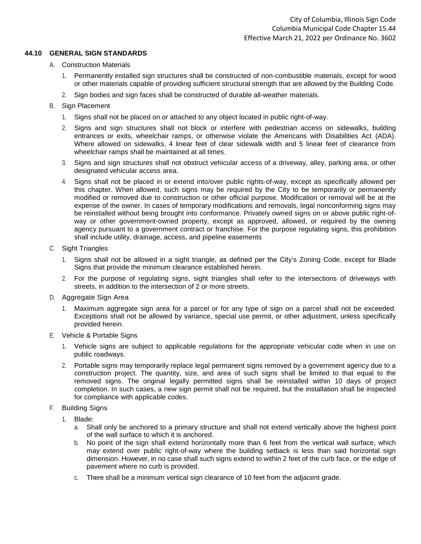#### **44.10 GENERAL SIGN STANDARDS**

- A. Construction Materials
	- 1. Permanently installed sign structures shall be constructed of non-combustible materials, except for wood or other materials capable of providing sufficient structural strength that are allowed by the Building Code.
	- 2. Sign bodies and sign faces shall be constructed of durable all-weather materials.

### B. Sign Placement

- 1. Signs shall not be placed on or attached to any object located in public right-of-way.
- 2. Signs and sign structures shall not block or interfere with pedestrian access on sidewalks, building entrances or exits, wheelchair ramps, or otherwise violate the Americans with Disabilities Act (ADA). Where allowed on sidewalks, 4 linear feet of clear sidewalk width and 5 linear feet of clearance from wheelchair ramps shall be maintained at all times.
- 3. Signs and sign structures shall not obstruct vehicular access of a driveway, alley, parking area, or other designated vehicular access area.
- 4. Signs shall not be placed in or extend into/over public rights-of-way, except as specifically allowed per this chapter. When allowed, such signs may be required by the City to be temporarily or permanently modified or removed due to construction or other official purpose. Modification or removal will be at the expense of the owner. In cases of temporary modifications and removals, legal nonconforming signs may be reinstalled without being brought into conformance. Privately owned signs on or above public right-ofway or other government-owned property, except as approved, allowed, or required by the owning agency pursuant to a government contract or franchise. For the purpose regulating signs, this prohibition shall include utility, drainage, access, and pipeline easements
- C. Sight Triangles
	- 1. Signs shall not be allowed in a sight triangle, as defined per the City's Zoning Code, except for Blade Signs that provide the minimum clearance established herein.
	- 2. For the purpose of regulating signs, sight triangles shall refer to the intersections of driveways with streets, in addition to the intersection of 2 or more streets.
- D. Aggregate Sign Area
	- 1. Maximum aggregate sign area for a parcel or for any type of sign on a parcel shall not be exceeded. Exceptions shall not be allowed by variance, special use permit, or other adjustment, unless specifically provided herein.
- E. Vehicle & Portable Signs
	- 1. Vehicle signs are subject to applicable regulations for the appropriate vehicular code when in use on public roadways.
	- 2. Portable signs may temporarily replace legal permanent signs removed by a government agency due to a construction project. The quantity, size, and area of such signs shall be limited to that equal to the removed signs. The original legally permitted signs shall be reinstalled within 10 days of project completion. In such cases, a new sign permit shall not be required, but the installation shall be inspected for compliance with applicable codes.
- F. Building Signs
	- 1. Blade:
		- a. Shall only be anchored to a primary structure and shall not extend vertically above the highest point of the wall surface to which it is anchored.
		- b. No point of the sign shall extend horizontally more than 6 feet from the vertical wall surface, which may extend over public right-of-way where the building setback is less than said horizontal sign dimension. However, in no case shall such signs extend to within 2 feet of the curb face, or the edge of pavement where no curb is provided.
		- c. There shall be a minimum vertical sign clearance of 10 feet from the adjacent grade.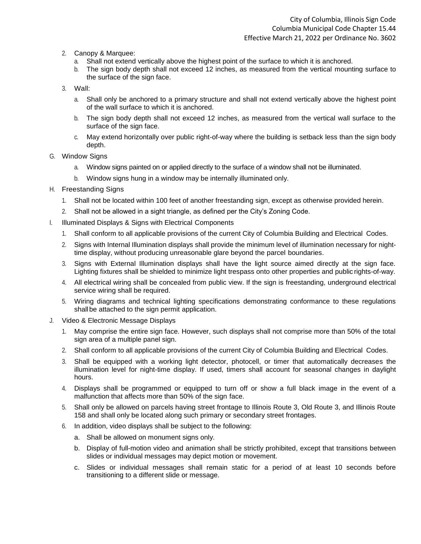- 2. Canopy & Marquee:
	- a. Shall not extend vertically above the highest point of the surface to which it is anchored.
	- b. The sign body depth shall not exceed 12 inches, as measured from the vertical mounting surface to the surface of the sign face.
- 3. Wall:
	- a. Shall only be anchored to a primary structure and shall not extend vertically above the highest point of the wall surface to which it is anchored.
	- b. The sign body depth shall not exceed 12 inches, as measured from the vertical wall surface to the surface of the sign face.
	- c. May extend horizontally over public right-of-way where the building is setback less than the sign body depth.
- G. Window Signs
	- a. Window signs painted on or applied directly to the surface of a window shall not be illuminated.
	- b. Window signs hung in a window may be internally illuminated only.
- H. Freestanding Signs
	- 1. Shall not be located within 100 feet of another freestanding sign, except as otherwise provided herein.
	- 2. Shall not be allowed in a sight triangle, as defined per the City's Zoning Code.
- I. Illuminated Displays & Signs with Electrical Components
	- 1. Shall conform to all applicable provisions of the current City of Columbia Building and Electrical Codes.
	- 2. Signs with Internal Illumination displays shall provide the minimum level of illumination necessary for nighttime display, without producing unreasonable glare beyond the parcel boundaries.
	- 3. Signs with External Illumination displays shall have the light source aimed directly at the sign face. Lighting fixtures shall be shielded to minimize light trespass onto other properties and public rights-of-way.
	- 4. All electrical wiring shall be concealed from public view. If the sign is freestanding, underground electrical service wiring shall be required.
	- 5. Wiring diagrams and technical lighting specifications demonstrating conformance to these regulations shall be attached to the sign permit application.
- J. Video & Electronic Message Displays
	- 1. May comprise the entire sign face. However, such displays shall not comprise more than 50% of the total sign area of a multiple panel sign.
	- 2. Shall conform to all applicable provisions of the current City of Columbia Building and Electrical Codes.
	- 3. Shall be equipped with a working light detector, photocell, or timer that automatically decreases the illumination level for night-time display. If used, timers shall account for seasonal changes in daylight hours.
	- 4. Displays shall be programmed or equipped to turn off or show a full black image in the event of a malfunction that affects more than 50% of the sign face.
	- 5. Shall only be allowed on parcels having street frontage to Illinois Route 3, Old Route 3, and Illinois Route 158 and shall only be located along such primary or secondary street frontages.
	- 6. In addition, video displays shall be subject to the following:
		- a. Shall be allowed on monument signs only.
		- b. Display of full-motion video and animation shall be strictly prohibited, except that transitions between slides or individual messages may depict motion or movement.
		- c. Slides or individual messages shall remain static for a period of at least 10 seconds before transitioning to a different slide or message.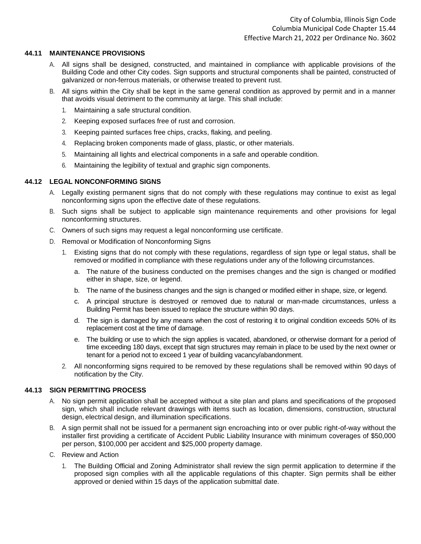#### **44.11 MAINTENANCE PROVISIONS**

- A. All signs shall be designed, constructed, and maintained in compliance with applicable provisions of the Building Code and other City codes. Sign supports and structural components shall be painted, constructed of galvanized or non-ferrous materials, or otherwise treated to prevent rust.
- B. All signs within the City shall be kept in the same general condition as approved by permit and in a manner that avoids visual detriment to the community at large. This shall include:
	- 1. Maintaining a safe structural condition.
	- 2. Keeping exposed surfaces free of rust and corrosion.
	- 3. Keeping painted surfaces free chips, cracks, flaking, and peeling.
	- 4. Replacing broken components made of glass, plastic, or other materials.
	- 5. Maintaining all lights and electrical components in a safe and operable condition.
	- 6. Maintaining the legibility of textual and graphic sign components.

#### **44.12 LEGAL NONCONFORMING SIGNS**

- A. Legally existing permanent signs that do not comply with these regulations may continue to exist as legal nonconforming signs upon the effective date of these regulations.
- B. Such signs shall be subject to applicable sign maintenance requirements and other provisions for legal nonconforming structures.
- C. Owners of such signs may request a legal nonconforming use certificate.
- D. Removal or Modification of Nonconforming Signs
	- 1. Existing signs that do not comply with these regulations, regardless of sign type or legal status, shall be removed or modified in compliance with these regulations under any of the following circumstances.
		- a. The nature of the business conducted on the premises changes and the sign is changed or modified either in shape, size, or legend.
		- b. The name of the business changes and the sign is changed or modified either in shape, size, or legend.
		- c. A principal structure is destroyed or removed due to natural or man-made circumstances, unless a Building Permit has been issued to replace the structure within 90 days.
		- d. The sign is damaged by any means when the cost of restoring it to original condition exceeds 50% of its replacement cost at the time of damage.
		- e. The building or use to which the sign applies is vacated, abandoned, or otherwise dormant for a period of time exceeding 180 days, except that sign structures may remain in place to be used by the next owner or tenant for a period not to exceed 1 year of building vacancy/abandonment.
	- 2. All nonconforming signs required to be removed by these regulations shall be removed within 90 days of notification by the City.

#### **44.13 SIGN PERMITTING PROCESS**

- A. No sign permit application shall be accepted without a site plan and plans and specifications of the proposed sign, which shall include relevant drawings with items such as location, dimensions, construction, structural design, electrical design, and illumination specifications.
- B. A sign permit shall not be issued for a permanent sign encroaching into or over public right-of-way without the installer first providing a certificate of Accident Public Liability Insurance with minimum coverages of \$50,000 per person, \$100,000 per accident and \$25,000 property damage.
- C. Review and Action
	- 1. The Building Official and Zoning Administrator shall review the sign permit application to determine if the proposed sign complies with all the applicable regulations of this chapter. Sign permits shall be either approved or denied within 15 days of the application submittal date.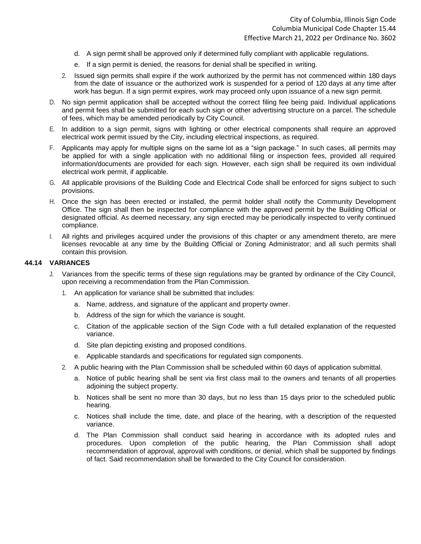- d. A sign permit shall be approved only if determined fully compliant with applicable regulations.
- e. If a sign permit is denied, the reasons for denial shall be specified in writing.
- 2. Issued sign permits shall expire if the work authorized by the permit has not commenced within 180 days from the date of issuance or the authorized work is suspended for a period of 120 days at any time after work has begun. If a sign permit expires, work may proceed only upon issuance of a new sign permit.
- D. No sign permit application shall be accepted without the correct filing fee being paid. Individual applications and permit fees shall be submitted for each such sign or other advertising structure on a parcel. The schedule of fees, which may be amended periodically by City Council.
- E. In addition to a sign permit, signs with lighting or other electrical components shall require an approved electrical work permit issued by the City, including electrical inspections, as required.
- F. Applicants may apply for multiple signs on the same lot as a "sign package." In such cases, all permits may be applied for with a single application with no additional filing or inspection fees, provided all required information/documents are provided for each sign. However, each sign shall be required its own individual electrical work permit, if applicable.
- G. All applicable provisions of the Building Code and Electrical Code shall be enforced for signs subject to such provisions.
- H. Once the sign has been erected or installed, the permit holder shall notify the Community Development Office. The sign shall then be inspected for compliance with the approved permit by the Building Official or designated official. As deemed necessary, any sign erected may be periodically inspected to verify continued compliance.
- I. All rights and privileges acquired under the provisions of this chapter or any amendment thereto, are mere licenses revocable at any time by the Building Official or Zoning Administrator; and all such permits shall contain this provision.

#### **44.14 VARIANCES**

- J. Variances from the specific terms of these sign regulations may be granted by ordinance of the City Council, upon receiving a recommendation from the Plan Commission.
	- 1. An application for variance shall be submitted that includes:
		- a. Name, address, and signature of the applicant and property owner.
		- b. Address of the sign for which the variance is sought.
		- c. Citation of the applicable section of the Sign Code with a full detailed explanation of the requested variance.
		- d. Site plan depicting existing and proposed conditions.
		- e. Applicable standards and specifications for regulated sign components.
	- 2. A public hearing with the Plan Commission shall be scheduled within 60 days of application submittal.
		- a. Notice of public hearing shall be sent via first class mail to the owners and tenants of all properties adjoining the subject property.
		- b. Notices shall be sent no more than 30 days, but no less than 15 days prior to the scheduled public hearing.
		- c. Notices shall include the time, date, and place of the hearing, with a description of the requested variance.
		- d. The Plan Commission shall conduct said hearing in accordance with its adopted rules and procedures. Upon completion of the public hearing, the Plan Commission shall adopt recommendation of approval, approval with conditions, or denial, which shall be supported by findings of fact. Said recommendation shall be forwarded to the City Council for consideration.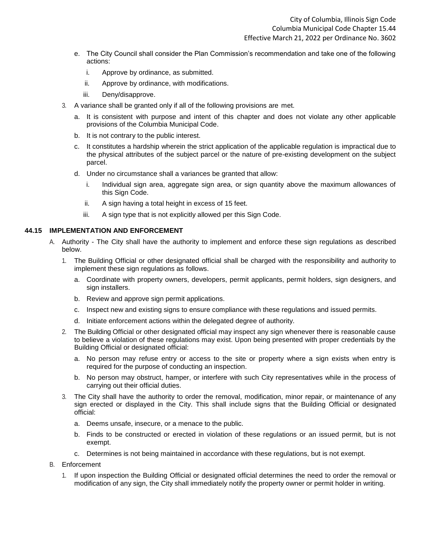- e. The City Council shall consider the Plan Commission's recommendation and take one of the following actions:
	- i. Approve by ordinance, as submitted.
	- ii. Approve by ordinance, with modifications.
	- iii. Deny/disapprove.
- 3. A variance shall be granted only if all of the following provisions are met.
	- a. It is consistent with purpose and intent of this chapter and does not violate any other applicable provisions of the Columbia Municipal Code.
	- b. It is not contrary to the public interest.
	- c. It constitutes a hardship wherein the strict application of the applicable regulation is impractical due to the physical attributes of the subject parcel or the nature of pre-existing development on the subject parcel.
	- d. Under no circumstance shall a variances be granted that allow:
		- i. Individual sign area, aggregate sign area, or sign quantity above the maximum allowances of this Sign Code.
		- ii. A sign having a total height in excess of 15 feet.
		- iii. A sign type that is not explicitly allowed per this Sign Code.

#### **44.15 IMPLEMENTATION AND ENFORCEMENT**

- A. Authority The City shall have the authority to implement and enforce these sign regulations as described below.
	- 1. The Building Official or other designated official shall be charged with the responsibility and authority to implement these sign regulations as follows.
		- a. Coordinate with property owners, developers, permit applicants, permit holders, sign designers, and sign installers.
		- b. Review and approve sign permit applications.
		- c. Inspect new and existing signs to ensure compliance with these regulations and issued permits.
		- d. Initiate enforcement actions within the delegated degree of authority.
	- 2. The Building Official or other designated official may inspect any sign whenever there is reasonable cause to believe a violation of these regulations may exist. Upon being presented with proper credentials by the Building Official or designated official:
		- a. No person may refuse entry or access to the site or property where a sign exists when entry is required for the purpose of conducting an inspection.
		- b. No person may obstruct, hamper, or interfere with such City representatives while in the process of carrying out their official duties.
	- 3. The City shall have the authority to order the removal, modification, minor repair, or maintenance of any sign erected or displayed in the City. This shall include signs that the Building Official or designated official:
		- a. Deems unsafe, insecure, or a menace to the public.
		- b. Finds to be constructed or erected in violation of these regulations or an issued permit, but is not exempt.
		- c. Determines is not being maintained in accordance with these regulations, but is not exempt.
- B. Enforcement
	- 1. If upon inspection the Building Official or designated official determines the need to order the removal or modification of any sign, the City shall immediately notify the property owner or permit holder in writing.